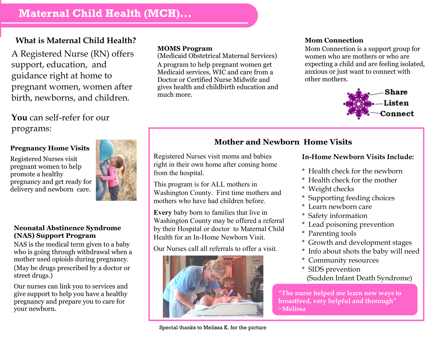## **What is Maternal Child Health?**

A Registered Nurse (RN) offers support, education, and guidance right at home to pregnant women, women after birth, newborns, and children.

**You** can self-refer for our programs:

### **Pregnancy Home Visits**

Registered Nurses visit pregnant women to help promote a healthy pregnancy and get ready for delivery and newborn care.



#### **Neonatal Abstinence Syndrome (NAS) Support Program**

NAS is the medical term given to a baby who is going through withdrawal when a mother used opioids during pregnancy. (May be drugs prescribed by a doctor or street drugs.)

Our nurses can link you to services and give support to help you have a healthy pregnancy and prepare you to care for your newborn.

#### **MOMS Program**

(Medicaid Obstetrical Maternal Services) A program to help pregnant women get Medicaid services, WIC and care from a Doctor or Certified Nurse Midwife and gives health and childbirth education and much more.

#### **Mom Connection**

Mom Connection is a support group for women who are mothers or who are expecting a child and are feeling isolated, anxious or just want to connect with other mothers.



## **Mother and Newborn Home Visits**

Registered Nurses visit moms and babies right in their own home after coming home from the hospital.

This program is for ALL mothers in Washington County. First time mothers and mothers who have had children before.

**Every** baby born to families that live in Washington County may be offered a referral by their Hospital or doctor to Maternal Child Health for an In-Home Newborn Visit.

Our Nurses call all referrals to offer a visit.



## **In-Home Newborn Visits Include:**

- \* Health check for the newborn
- \* Health check for the mother
- \* Weight checks
- \* Supporting feeding choices
- \* Learn newborn care
- \* Safety information
- \* Lead poisoning prevention
- \* Parenting tools
- \* Growth and development stages
- \* Info about shots the baby will need
- \* Community resources
- \* SIDS prevention (Sudden Infant Death Syndrome)

**"The nurse helped me learn new ways to breastfeed, very helpful and thorough" ~Melissa**